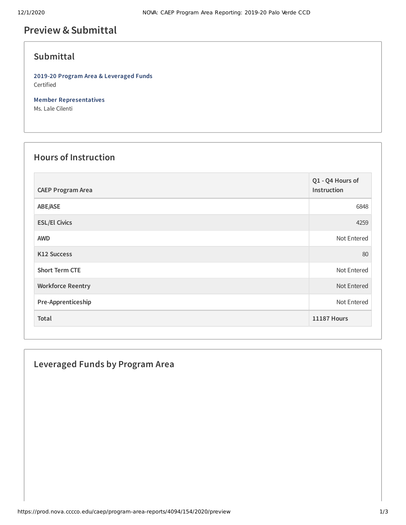# **Preview &Submittal**

## **Submittal**

**2019-20 Program Area & Leveraged Funds** Certified

**Member Representatives** Ms. Lale Cilenti

#### **Hours of Instruction**

| <b>CAEP Program Area</b> | Q1 - Q4 Hours of<br>Instruction |
|--------------------------|---------------------------------|
| ABE/ASE                  | 6848                            |
| <b>ESL/El Civics</b>     | 4259                            |
| <b>AWD</b>               | Not Entered                     |
| <b>K12 Success</b>       | 80                              |
| <b>Short Term CTE</b>    | Not Entered                     |
| <b>Workforce Reentry</b> | Not Entered                     |
| Pre-Apprenticeship       | Not Entered                     |
| Total                    | <b>11187 Hours</b>              |

### **Leveraged Funds by Program Area**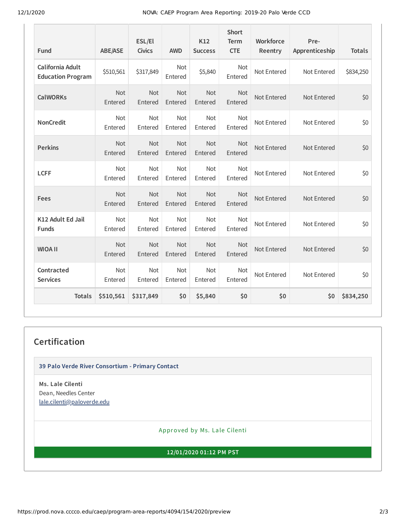12/1/2020 NOVA: CAEP Program Area Reporting: 2019-20 Palo Verde CCD

| Fund                                         | <b>ABE/ASE</b>        | ESL/El<br><b>Civics</b> | <b>AWD</b>            | K12<br><b>Success</b> | <b>Short</b><br><b>Term</b><br><b>CTE</b> | Workforce<br>Reentry | Pre-<br>Apprenticeship | <b>Totals</b> |
|----------------------------------------------|-----------------------|-------------------------|-----------------------|-----------------------|-------------------------------------------|----------------------|------------------------|---------------|
| California Adult<br><b>Education Program</b> | \$510,561             | \$317,849               | <b>Not</b><br>Entered | \$5,840               | Not<br>Entered                            | Not Entered          | Not Entered            | \$834,250     |
| <b>CalWORKs</b>                              | Not<br>Entered        | Not<br>Entered          | Not<br>Entered        | Not<br>Entered        | <b>Not</b><br>Entered                     | Not Entered          | Not Entered            | \$0           |
| <b>NonCredit</b>                             | <b>Not</b><br>Entered | <b>Not</b><br>Entered   | <b>Not</b><br>Entered | <b>Not</b><br>Entered | <b>Not</b><br>Entered                     | Not Entered          | Not Entered            | \$0           |
| <b>Perkins</b>                               | <b>Not</b><br>Entered | Not<br>Entered          | Not<br>Entered        | Not<br>Entered        | Not<br>Entered                            | Not Entered          | Not Entered            | \$0           |
| <b>LCFF</b>                                  | Not<br>Entered        | Not<br>Entered          | Not<br>Entered        | Not<br>Entered        | Not<br>Entered                            | Not Entered          | Not Entered            | \$0           |
| Fees                                         | <b>Not</b><br>Entered | <b>Not</b><br>Entered   | Not<br>Entered        | Not<br>Entered        | <b>Not</b><br>Entered                     | Not Entered          | Not Entered            | \$0           |
| K12 Adult Ed Jail<br><b>Funds</b>            | Not<br>Entered        | Not<br>Entered          | Not<br>Entered        | Not<br>Entered        | Not<br>Entered                            | Not Entered          | Not Entered            | \$0           |
| <b>WIOA II</b>                               | Not<br>Entered        | <b>Not</b><br>Entered   | Not<br>Entered        | Not<br>Entered        | <b>Not</b><br>Entered                     | Not Entered          | Not Entered            | \$0           |
| Contracted<br><b>Services</b>                | <b>Not</b><br>Entered | <b>Not</b><br>Entered   | <b>Not</b><br>Entered | <b>Not</b><br>Entered | <b>Not</b><br>Entered                     | Not Entered          | Not Entered            | \$0           |
| <b>Totals</b>                                | \$510,561             | \$317,849               | \$0                   | \$5,840               | \$0                                       | \$0                  | \$0                    | \$834,250     |

## **Certification**

**39 Palo Verde River Consortium - Primary Contact**

**Ms. Lale Cilenti** Dean, Needles Center [lale.cilenti@paloverde.edu](mailto:lale.cilenti@paloverde.edu)

Approved by Ms. Lale Cilenti

**12/01/2020 01:12 PM PST**